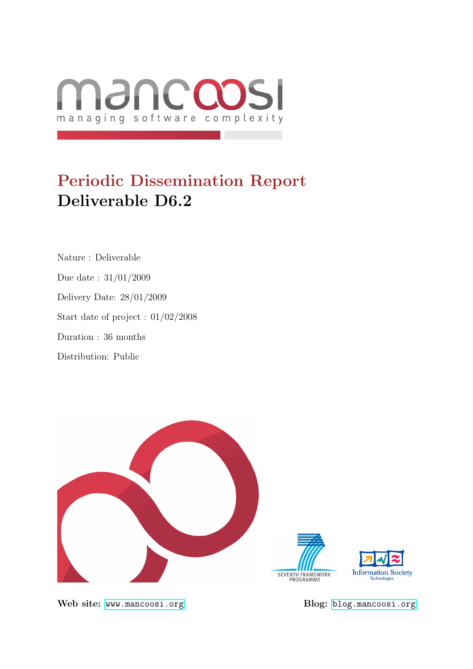

# Periodic Dissemination Report Deliverable D6.2

Nature : Deliverable Due date : 31/01/2009 Delivery Date: 28/01/2009 Start date of project : 01/02/2008 Duration : 36 months Distribution: Public



Web site: <www.mancoosi.org> Blog: <blog.mancoosi.org>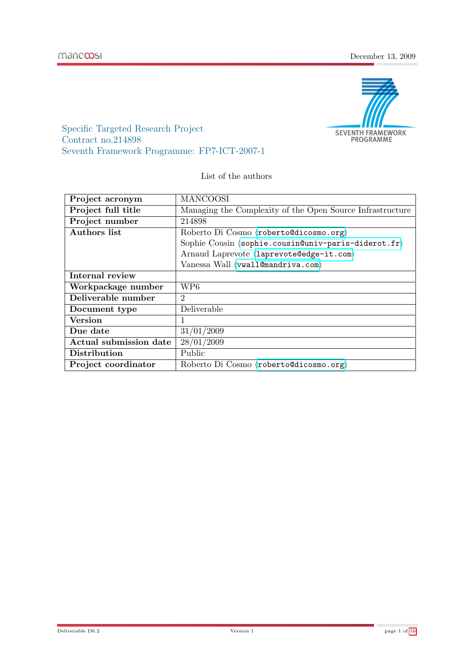

Specific Targeted Research Project Contract no.214898 Seventh Framework Programme: FP7-ICT-2007-1

List of the authors

| Project acronym        | <b>MANCOOSI</b>                                                            |  |  |  |  |  |  |
|------------------------|----------------------------------------------------------------------------|--|--|--|--|--|--|
| Project full title     | Managing the Complexity of the Open Source Infrastructure                  |  |  |  |  |  |  |
| Project number         | 214898                                                                     |  |  |  |  |  |  |
| <b>Authors</b> list    | Roberto Di Cosmo (roberto@dicosmo.org)                                     |  |  |  |  |  |  |
|                        | Sophie Cousin $\langle \text{sophie.cousin@univ-paris-diderot.fr} \rangle$ |  |  |  |  |  |  |
|                        | Arnaud Laprevote (laprevote@edge-it.com)                                   |  |  |  |  |  |  |
|                        | Vanessa Wall (vwall@mandriva.com)                                          |  |  |  |  |  |  |
| Internal review        |                                                                            |  |  |  |  |  |  |
| Workpackage number     | WP6                                                                        |  |  |  |  |  |  |
| Deliverable number     | $\overline{2}$                                                             |  |  |  |  |  |  |
| Document type          | Deliverable                                                                |  |  |  |  |  |  |
| <b>Version</b>         | 1                                                                          |  |  |  |  |  |  |
| Due date               | 31/01/2009                                                                 |  |  |  |  |  |  |
| Actual submission date | 28/01/2009                                                                 |  |  |  |  |  |  |
| <b>Distribution</b>    | Public                                                                     |  |  |  |  |  |  |
| Project coordinator    | Roberto Di Cosmo (roberto@dicosmo.org)                                     |  |  |  |  |  |  |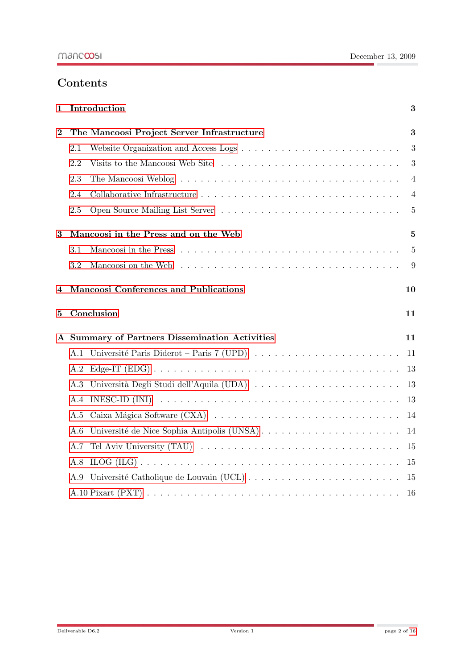# Contents

| 1        | Introduction                                                                                                                                                                                                                         | 3              |  |  |  |  |  |  |  |  |  |
|----------|--------------------------------------------------------------------------------------------------------------------------------------------------------------------------------------------------------------------------------------|----------------|--|--|--|--|--|--|--|--|--|
| $\bf{2}$ | The Mancoosi Project Server Infrastructure                                                                                                                                                                                           |                |  |  |  |  |  |  |  |  |  |
|          | Website Organization and Access Logs $\dots \dots \dots \dots \dots \dots \dots \dots \dots \dots$<br>2.1                                                                                                                            | 3              |  |  |  |  |  |  |  |  |  |
|          | Visits to the Mancoosi Web Site<br>2.2                                                                                                                                                                                               | 3              |  |  |  |  |  |  |  |  |  |
|          | 2.3                                                                                                                                                                                                                                  | 4              |  |  |  |  |  |  |  |  |  |
|          | 2.4                                                                                                                                                                                                                                  | 4              |  |  |  |  |  |  |  |  |  |
|          | 2.5                                                                                                                                                                                                                                  | $\overline{5}$ |  |  |  |  |  |  |  |  |  |
| 3        | Mancoosi in the Press and on the Web                                                                                                                                                                                                 | 5              |  |  |  |  |  |  |  |  |  |
|          | 3.1                                                                                                                                                                                                                                  | $\overline{5}$ |  |  |  |  |  |  |  |  |  |
|          | Mancoosi on the Web edge is a series in the series of the series of the series of the series of the series of the series of the series of the series of the series of the series of the series of the series of the series of<br>3.2 | 9              |  |  |  |  |  |  |  |  |  |
| 4        | Mancoosi Conferences and Publications                                                                                                                                                                                                |                |  |  |  |  |  |  |  |  |  |
| 5        | Conclusion                                                                                                                                                                                                                           | 11             |  |  |  |  |  |  |  |  |  |
|          | A Summary of Partners Dissemination Activities                                                                                                                                                                                       | 11             |  |  |  |  |  |  |  |  |  |
|          | A.1 Université Paris Diderot – Paris 7 (UPD) $\ldots \ldots \ldots \ldots \ldots \ldots \ldots$                                                                                                                                      | 11             |  |  |  |  |  |  |  |  |  |
|          |                                                                                                                                                                                                                                      |                |  |  |  |  |  |  |  |  |  |
|          | A.2                                                                                                                                                                                                                                  | 13             |  |  |  |  |  |  |  |  |  |
|          | Università Degli Studi dell'Aquila (UDA)<br>A.3                                                                                                                                                                                      | 13             |  |  |  |  |  |  |  |  |  |
|          | INESC-ID (INI) $\dots \dots \dots \dots \dots \dots \dots \dots \dots \dots \dots \dots \dots \dots \dots \dots \dots$<br>A.4                                                                                                        | 13             |  |  |  |  |  |  |  |  |  |
|          | A.5                                                                                                                                                                                                                                  | 14             |  |  |  |  |  |  |  |  |  |
|          | Université de Nice Sophia Antipolis (UNSA)<br>A.6                                                                                                                                                                                    | 14             |  |  |  |  |  |  |  |  |  |
|          | A.7                                                                                                                                                                                                                                  | 15             |  |  |  |  |  |  |  |  |  |
|          | A.8                                                                                                                                                                                                                                  | 15             |  |  |  |  |  |  |  |  |  |
|          | A.9                                                                                                                                                                                                                                  | 15             |  |  |  |  |  |  |  |  |  |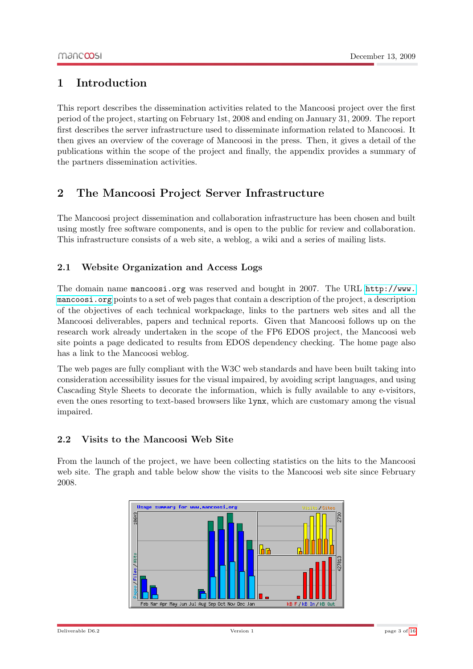# <span id="page-3-0"></span>1 Introduction

This report describes the dissemination activities related to the Mancoosi project over the first period of the project, starting on February 1st, 2008 and ending on January 31, 2009. The report first describes the server infrastructure used to disseminate information related to Mancoosi. It then gives an overview of the coverage of Mancoosi in the press. Then, it gives a detail of the publications within the scope of the project and finally, the appendix provides a summary of the partners dissemination activities.

# <span id="page-3-1"></span>2 The Mancoosi Project Server Infrastructure

The Mancoosi project dissemination and collaboration infrastructure has been chosen and built using mostly free software components, and is open to the public for review and collaboration. This infrastructure consists of a web site, a weblog, a wiki and a series of mailing lists.

### <span id="page-3-2"></span>2.1 Website Organization and Access Logs

The domain name mancoosi.org was reserved and bought in 2007. The URL [http://www.](http://www.mancoosi.org) [mancoosi.org](http://www.mancoosi.org) points to a set of web pages that contain a description of the project, a description of the objectives of each technical workpackage, links to the partners web sites and all the Mancoosi deliverables, papers and technical reports. Given that Mancoosi follows up on the research work already undertaken in the scope of the FP6 EDOS project, the Mancoosi web site points a page dedicated to results from EDOS dependency checking. The home page also has a link to the Mancoosi weblog.

The web pages are fully compliant with the W3C web standards and have been built taking into consideration accessibility issues for the visual impaired, by avoiding script languages, and using Cascading Style Sheets to decorate the information, which is fully available to any e-visitors, even the ones resorting to text-based browsers like lynx, which are customary among the visual impaired.

### <span id="page-3-3"></span>2.2 Visits to the Mancoosi Web Site

From the launch of the project, we have been collecting statistics on the hits to the Mancoosi web site. The graph and table below show the visits to the Mancoosi web site since February 2008.

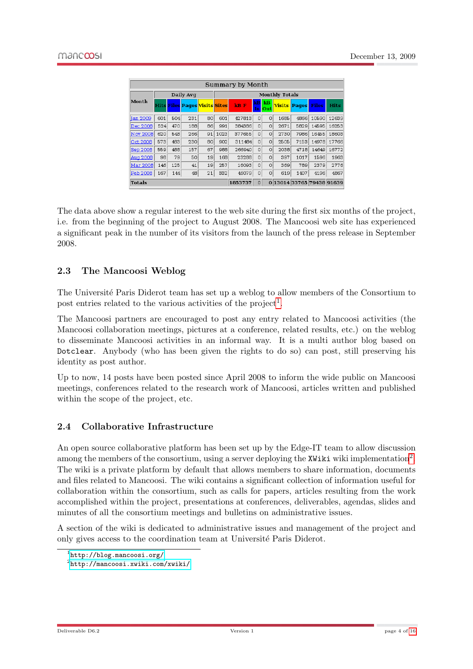| Summary by Month |           |     |                                      |    |                       |         |                 |            |      |                           |              |             |  |
|------------------|-----------|-----|--------------------------------------|----|-----------------------|---------|-----------------|------------|------|---------------------------|--------------|-------------|--|
|                  | Daily Avq |     |                                      |    | <b>Monthly Totals</b> |         |                 |            |      |                           |              |             |  |
| Month            |           |     | <b>Hits Files Pages Visits Sites</b> |    |                       | kB F    | <b>kB</b><br>In | kB<br>Outl |      | <b>Visits Pages</b>       | <b>Files</b> | <b>Hits</b> |  |
| <b>Jan 2009</b>  | 601       | 504 | 231                                  | 80 | 601                   | 427813  | $\circ$         | $\circ$    | 1685 | 4866                      | 10590        | 12639       |  |
| Dec 2008         | 524       | 470 | 188                                  | 86 | 991                   | 384386  | $\Omega$        | $\circ$    | 2671 | 5829                      | 14595        | 16253       |  |
| <b>Nov 2008</b>  | 620       | 548 | 266                                  | 91 | 1023                  | 377655  | $\Omega$        | $\Omega$   | 2730 | 7986                      | 16455        | 18603       |  |
| Oct 2008         | 573       | 483 | 230                                  | 80 | 902                   | 311484  | $\circ$         | $\circ$    | 2505 | 7153                      | 14978        | 17766       |  |
| <b>Sep 2008</b>  | 559       | 488 | 157                                  | 67 | 988                   | 266940  | $\Omega$        | $\Omega$   | 2038 | 4718                      | 14649        | 16772       |  |
| Aug 2008         | 98        | 79  | 50                                   | 19 | 168                   | 23288   | $\Omega$        | $\Omega$   | 397  | 1017                      | 1596         | 1963        |  |
| Mar 2008         | 146       | 125 | 41                                   | 19 | 257                   | 16093   | $\circ$         | $\circ$    | 369  | 789                       | 2379         | 2776        |  |
| <b>Feb 2008</b>  | 167       | 144 | 48                                   | 21 | 332                   | 46079   | $\circ$         | $\circ$    | 619  | 1407                      | 4196         | 4867        |  |
| Totals           |           |     |                                      |    |                       | 1853737 | $\Omega$        |            |      | 0 13014 33765 79438 91639 |              |             |  |

The data above show a regular interest to the web site during the first six months of the project, i.e. from the beginning of the project to August 2008. The Mancoosi web site has experienced a significant peak in the number of its visitors from the launch of the press release in September 2008.

### <span id="page-4-0"></span>2.3 The Mancoosi Weblog

The Université Paris Diderot team has set up a weblog to allow members of the Consortium to post entries related to the various activities of the project<sup>[1](#page-4-2)</sup>.

The Mancoosi partners are encouraged to post any entry related to Mancoosi activities (the Mancoosi collaboration meetings, pictures at a conference, related results, etc.) on the weblog to disseminate Mancoosi activities in an informal way. It is a multi author blog based on Dotclear. Anybody (who has been given the rights to do so) can post, still preserving his identity as post author.

Up to now, 14 posts have been posted since April 2008 to inform the wide public on Mancoosi meetings, conferences related to the research work of Mancoosi, articles written and published within the scope of the project, etc.

#### <span id="page-4-1"></span>2.4 Collaborative Infrastructure

An open source collaborative platform has been set up by the Edge-IT team to allow discussion among the members of the consortium, using a server deploying the XWiki wiki implementation<sup>[2](#page-4-3)</sup>. The wiki is a private platform by default that allows members to share information, documents and files related to Mancoosi. The wiki contains a significant collection of information useful for collaboration within the consortium, such as calls for papers, articles resulting from the work accomplished within the project, presentations at conferences, deliverables, agendas, slides and minutes of all the consortium meetings and bulletins on administrative issues.

A section of the wiki is dedicated to administrative issues and management of the project and only gives access to the coordination team at Université Paris Diderot.

<span id="page-4-2"></span><sup>1</sup> <http://blog.mancoosi.org/>

<span id="page-4-3"></span> $^{2}$ <http://mancoosi.xwiki.com/xwiki/>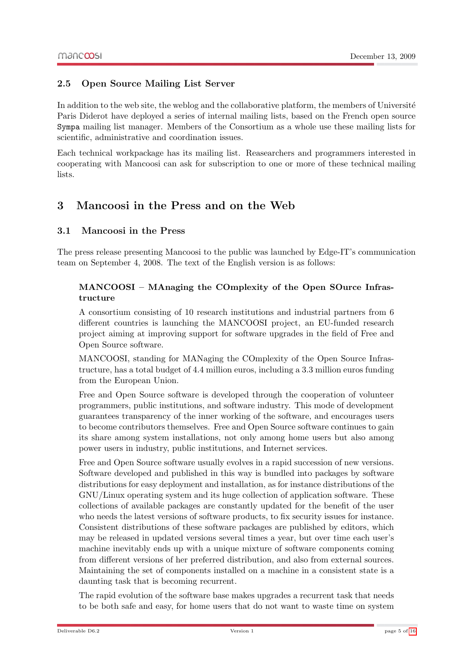#### <span id="page-5-0"></span>2.5 Open Source Mailing List Server

In addition to the web site, the weblog and the collaborative platform, the members of Université Paris Diderot have deployed a series of internal mailing lists, based on the French open source Sympa mailing list manager. Members of the Consortium as a whole use these mailing lists for scientific, administrative and coordination issues.

Each technical workpackage has its mailing list. Reasearchers and programmers interested in cooperating with Mancoosi can ask for subscription to one or more of these technical mailing lists.

# <span id="page-5-1"></span>3 Mancoosi in the Press and on the Web

#### <span id="page-5-2"></span>3.1 Mancoosi in the Press

The press release presenting Mancoosi to the public was launched by Edge-IT's communication team on September 4, 2008. The text of the English version is as follows:

#### MANCOOSI – MAnaging the COmplexity of the Open SOurce Infrastructure

A consortium consisting of 10 research institutions and industrial partners from 6 different countries is launching the MANCOOSI project, an EU-funded research project aiming at improving support for software upgrades in the field of Free and Open Source software.

MANCOOSI, standing for MANaging the COmplexity of the Open Source Infrastructure, has a total budget of 4.4 million euros, including a 3.3 million euros funding from the European Union.

Free and Open Source software is developed through the cooperation of volunteer programmers, public institutions, and software industry. This mode of development guarantees transparency of the inner working of the software, and encourages users to become contributors themselves. Free and Open Source software continues to gain its share among system installations, not only among home users but also among power users in industry, public institutions, and Internet services.

Free and Open Source software usually evolves in a rapid succession of new versions. Software developed and published in this way is bundled into packages by software distributions for easy deployment and installation, as for instance distributions of the GNU/Linux operating system and its huge collection of application software. These collections of available packages are constantly updated for the benefit of the user who needs the latest versions of software products, to fix security issues for instance. Consistent distributions of these software packages are published by editors, which may be released in updated versions several times a year, but over time each user's machine inevitably ends up with a unique mixture of software components coming from different versions of her preferred distribution, and also from external sources. Maintaining the set of components installed on a machine in a consistent state is a daunting task that is becoming recurrent.

The rapid evolution of the software base makes upgrades a recurrent task that needs to be both safe and easy, for home users that do not want to waste time on system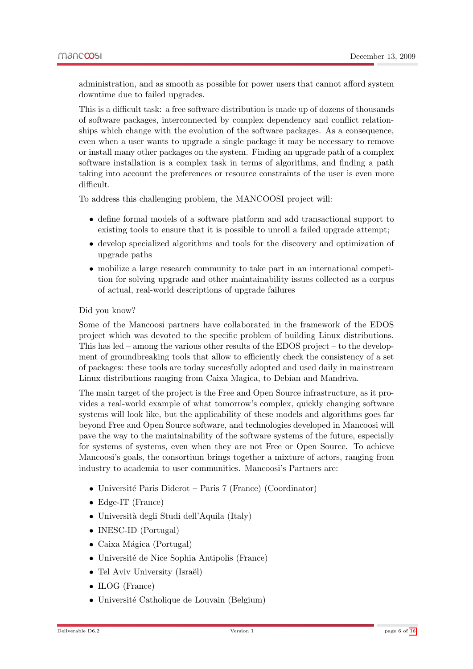administration, and as smooth as possible for power users that cannot afford system downtime due to failed upgrades.

This is a difficult task: a free software distribution is made up of dozens of thousands of software packages, interconnected by complex dependency and conflict relationships which change with the evolution of the software packages. As a consequence, even when a user wants to upgrade a single package it may be necessary to remove or install many other packages on the system. Finding an upgrade path of a complex software installation is a complex task in terms of algorithms, and finding a path taking into account the preferences or resource constraints of the user is even more difficult.

To address this challenging problem, the MANCOOSI project will:

- define formal models of a software platform and add transactional support to existing tools to ensure that it is possible to unroll a failed upgrade attempt;
- develop specialized algorithms and tools for the discovery and optimization of upgrade paths
- mobilize a large research community to take part in an international competition for solving upgrade and other maintainability issues collected as a corpus of actual, real-world descriptions of upgrade failures

#### Did you know?

Some of the Mancoosi partners have collaborated in the framework of the EDOS project which was devoted to the specific problem of building Linux distributions. This has led – among the various other results of the EDOS project – to the development of groundbreaking tools that allow to efficiently check the consistency of a set of packages: these tools are today succesfully adopted and used daily in mainstream Linux distributions ranging from Caixa Magica, to Debian and Mandriva.

The main target of the project is the Free and Open Source infrastructure, as it provides a real-world example of what tomorrow's complex, quickly changing software systems will look like, but the applicability of these models and algorithms goes far beyond Free and Open Source software, and technologies developed in Mancoosi will pave the way to the maintainability of the software systems of the future, especially for systems of systems, even when they are not Free or Open Source. To achieve Mancoosi's goals, the consortium brings together a mixture of actors, ranging from industry to academia to user communities. Mancoosi's Partners are:

- Université Paris Diderot Paris 7 (France) (Coordinator)
- Edge-IT (France)
- Università degli Studi dell'Aquila (Italy)
- INESC-ID (Portugal)
- $\bullet$  Caixa Mágica (Portugal)
- Université de Nice Sophia Antipolis (France)
- Tel Aviv University (Israël)
- ILOG (France)
- Université Catholique de Louvain (Belgium)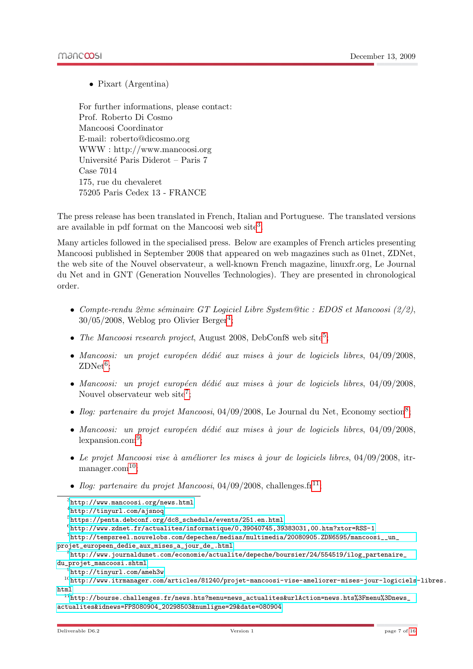• Pixart (Argentina)

For further informations, please contact: Prof. Roberto Di Cosmo Mancoosi Coordinator E-mail: roberto@dicosmo.org WWW : http://www.mancoosi.org Université Paris Diderot – Paris 7 Case 7014 175, rue du chevaleret 75205 Paris Cedex 13 - FRANCE

The press release has been translated in French, Italian and Portuguese. The translated versions are available in pdf format on the Mancoosi web site<sup>[3](#page-7-0)</sup>.

Many articles followed in the specialised press. Below are examples of French articles presenting Mancoosi published in September 2008 that appeared on web magazines such as 01net, ZDNet, the web site of the Nouvel observateur, a well-known French magazine, linuxfr.org, Le Journal du Net and in GNT (Generation Nouvelles Technologies). They are presented in chronological order.

- Compte-rendu 2ème séminaire GT Logiciel Libre System@tic : EDOS et Mancoosi (2/2),  $30/05/2008$ , Weblog pro Olivier Berger<sup>[4](#page-7-1)</sup>;
- The Mancoosi research project, August 2008, DebConf8 web site<sup>[5](#page-7-2)</sup>;
- Mancoosi: un projet européen dédié aux mises à jour de logiciels libres,  $04/09/2008$ ,  $\text{ZDNet}^6;$  $\text{ZDNet}^6;$  $\text{ZDNet}^6;$
- Mancoosi: un projet européen dédié aux mises à jour de logiciels libres,  $04/09/2008$ , Nouvel observateur web site<sup>[7](#page-7-4)</sup>;
- Ilog: partenaire du projet Mancoosi, 04/09/200[8](#page-7-5), Le Journal du Net, Economy section<sup>8</sup>;
- Mancoosi: un projet européen dédié aux mises à jour de logiciels libres,  $04/09/2008$ , lexpansion.com[9](#page-7-6) ;
- Le projet Mancoosi vise à améliorer les mises à jour de logiciels libres,  $04/09/2008$ , itr-manager.com<sup>[10](#page-7-7)</sup>:
- Ilog: partenaire du projet Mancoosi, 04/09/2008, challenges. $\text{fr}^{11}$  $\text{fr}^{11}$  $\text{fr}^{11}$ :

<span id="page-7-1"></span>4 <http://tinyurl.com/ajsnoq>

<span id="page-7-4"></span><span id="page-7-3"></span> $^6$ <http://www.zdnet.fr/actualites/informatique/0,39040745,39383031,00.htm?xtor=RSS-1>

<span id="page-7-0"></span> ${}^{3}$ <http://www.mancoosi.org/news.html>

<span id="page-7-2"></span> $^{5}$ [https://penta.debconf.org/dc8\\_schedule/events/251.en.html](https://penta.debconf.org/dc8_schedule/events/251.en.html)

 $^{7}$ [http://tempsreel.nouvelobs.com/depeches/medias/multimedia/20080905.ZDN6595/mancoosi\\_\\_un\\_](http://tempsreel.nouvelobs.com/depeches/medias/multimedia/20080905.ZDN6595/mancoosi__un_projet_europeen_dedie_aux_mises_a_jour_de_.html) [projet\\_europeen\\_dedie\\_aux\\_mises\\_a\\_jour\\_de\\_.html](http://tempsreel.nouvelobs.com/depeches/medias/multimedia/20080905.ZDN6595/mancoosi__un_projet_europeen_dedie_aux_mises_a_jour_de_.html)

<span id="page-7-5"></span> $^8$ [http://www.journaldunet.com/economie/actualite/depeche/boursier/24/554519/ilog\\_partenaire\\_](http://www.journaldunet.com/economie/actualite/depeche/boursier/24/554519/ilog_partenaire_du_projet_mancoosi.shtml) [du\\_projet\\_mancoosi.shtml](http://www.journaldunet.com/economie/actualite/depeche/boursier/24/554519/ilog_partenaire_du_projet_mancoosi.shtml)

<span id="page-7-7"></span><span id="page-7-6"></span> $^{9}$ <http://tinyurl.com/ameh3w>

<sup>10</sup>[http://www.itrmanager.com/articles/81240/projet-mancoosi-vise-ameliorer-mises-jour-logiciels](http://www.itrmanager.com/articles/81240/projet-mancoosi-vise-ameliorer-mises-jour-logiciels-libres.html)-libres. [html](http://www.itrmanager.com/articles/81240/projet-mancoosi-vise-ameliorer-mises-jour-logiciels-libres.html)

<span id="page-7-8"></span> $11$ [http://bourse.challenges.fr/news.hts?menu=news\\_actualites&urlAction=news.hts%3Fmenu%3Dnews\\_](http://bourse.challenges.fr/news.hts?menu=news_actualites&urlAction=news.hts%3Fmenu%3Dnews_actualites&idnews=FPS080904_20298503&numligne=29&date=080904) [actualites&idnews=FPS080904\\_20298503&numligne=29&date=080904](http://bourse.challenges.fr/news.hts?menu=news_actualites&urlAction=news.hts%3Fmenu%3Dnews_actualites&idnews=FPS080904_20298503&numligne=29&date=080904)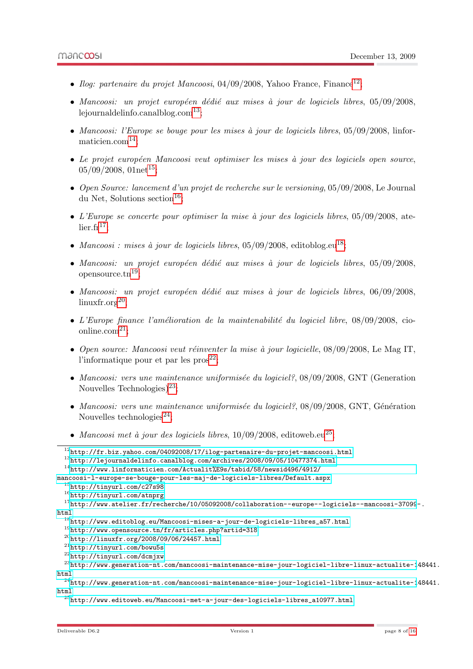- Ilog: partenaire du projet Mancoosi, 04/09/2008, Yahoo France, Finance<sup>[12](#page-8-0)</sup>;
- Mancoosi: un projet européen dédié aux mises à jour de logiciels libres,  $05/09/2008$ , lejournaldelinfo.canalblog.com<sup>[13](#page-8-1)</sup>;
- Mancoosi: l'Europe se bouge pour les mises à jour de logiciels libres,  $05/09/2008$ , linformaticien.com[14](#page-8-2);
- $\bullet$  Le projet européen Mancoosi veut optimiser les mises à jour des logiciels open source,  $05/09/2008$ ,  $01net^{15}$  $01net^{15}$  $01net^{15}$ ;
- Open Source: lancement d'un projet de recherche sur le versioning, 05/09/2008, Le Journal du Net, Solutions section<sup>[16](#page-8-4)</sup>:
- $\bullet$  L'Europe se concerte pour optimiser la mise à jour des logiciels libres, 05/09/2008, atelier.fr $17$ :
- Mancoosi : mises à jour de logiciels libres,  $05/09/2008$ , editoblog.eu<sup>[18](#page-8-6)</sup>;
- Mancoosi: un projet européen dédié aux mises à jour de logiciels libres,  $05/09/2008$ , opensource.tn<sup>[19](#page-8-7)</sup>;
- Mancoosi: un projet européen dédié aux mises à jour de logiciels libres,  $06/09/2008$ , linuxfr.org[20](#page-8-8);
- L'Europe finance l'amélioration de la maintenabilité du logiciel libre,  $08/09/2008$ , cioonline.com $^{21}$  $^{21}$  $^{21}$ :
- Open source: Mancoosi veut réinventer la mise à jour logicielle,  $08/09/2008$ , Le Mag IT, l'informatique pour et par les  $prox^{22}$  $prox^{22}$  $prox^{22}$ ;
- Mancoosi: vers une maintenance uniformisée du logiciel?,  $08/09/2008$ , GNT (Generation Nouvelles Technologies)<sup>[23](#page-8-11)</sup>:
- Mancoosi: vers une maintenance uniformisée du logiciel?,  $08/09/2008$ , GNT, Génération Nouvelles technologies<sup>[24](#page-8-12)</sup>:
- Mancoosi met à jour des logiciels libres,  $10/09/2008$ , editoweb.eu<sup>[25](#page-8-13)</sup>;

<span id="page-8-0"></span><sup>12</sup><http://fr.biz.yahoo.com/04092008/17/ilog-partenaire-du-projet-mancoosi.html>

<span id="page-8-1"></span><sup>13</sup><http://lejournaldelinfo.canalblog.com/archives/2008/09/05/10477374.html>

<span id="page-8-2"></span><sup>14</sup>[http://www.linformaticien.com/Actualit%E9s/tabid/58/newsid496/4912/](http://www.linformaticien.com/Actualit%E9s/tabid/58/newsid496/4912/mancoosi-l-europe-se-bouge-pour-les-maj-de-logiciels-libres/Default.aspx)

[mancoosi-l-europe-se-bouge-pour-les-maj-de-logiciels-libres/Default.aspx](http://www.linformaticien.com/Actualit%E9s/tabid/58/newsid496/4912/mancoosi-l-europe-se-bouge-pour-les-maj-de-logiciels-libres/Default.aspx) <sup>15</sup><http://tinyurl.com/c27s98>

<span id="page-8-4"></span><span id="page-8-3"></span><sup>16</sup><http://tinyurl.com/atnprg>

<span id="page-8-5"></span>

<sup>17</sup>[http://www.atelier.fr/recherche/10/05092008/collaboration--europe--logiciels--mancoosi-37099](http://www.atelier.fr/recherche/10/05092008/collaboration--europe--logiciels--mancoosi-37099-.html)-. [html](http://www.atelier.fr/recherche/10/05092008/collaboration--europe--logiciels--mancoosi-37099-.html)

<span id="page-8-6"></span> $^{18}{\tt http://www.edutoblog.eu/Mancoosi-mises-a-jour-de-logiciels-libres_a57.html}$ 

<span id="page-8-7"></span><sup>19</sup><http://www.opensource.tn/fr/articles.php?artid=318>

<span id="page-8-8"></span> $^{20}$ <http://linuxfr.org/2008/09/06/24457.html>

<span id="page-8-9"></span><sup>21</sup><http://tinyurl.com/bowu5s>

<span id="page-8-11"></span><span id="page-8-10"></span><sup>22</sup><http://tinyurl.com/dcmjxw>

 $^{23}$ [http://www.generation-nt.com/mancoosi-maintenance-mise-jour-logiciel-libre-linux-actualite-1](http://www.generation-nt.com/mancoosi-maintenance-mise-jour-logiciel-libre-linux-actualite-148441.html)48441. [html](http://www.generation-nt.com/mancoosi-maintenance-mise-jour-logiciel-libre-linux-actualite-148441.html)

<span id="page-8-12"></span> $^{24}$ [http://www.generation-nt.com/mancoosi-maintenance-mise-jour-logiciel-libre-linux-actualite-1](http://www.generation-nt.com/mancoosi-maintenance-mise-jour-logiciel-libre-linux-actualite-148441.html)48441. [html](http://www.generation-nt.com/mancoosi-maintenance-mise-jour-logiciel-libre-linux-actualite-148441.html)

<span id="page-8-13"></span> $^{25}$ [http://www.editoweb.eu/Mancoosi-met-a-jour-des-logiciels-libres\\_a10977.html](http://www.editoweb.eu/Mancoosi-met-a-jour-des-logiciels-libres_a10977.html)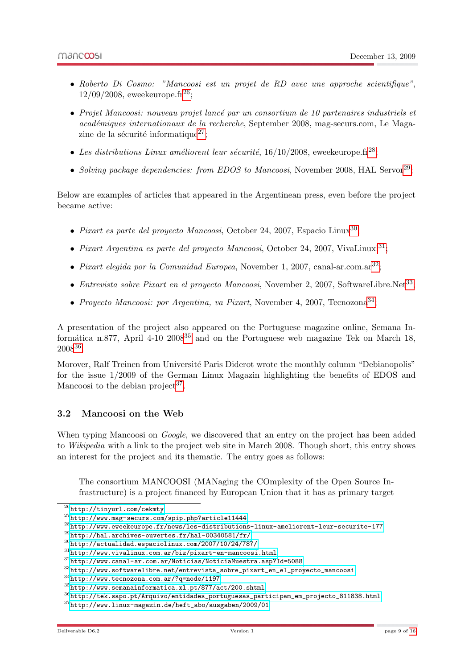- Roberto Di Cosmo: "Mancoosi est un projet de RD avec une approche scientifique",  $12/09/2008$ , eweekeurope.fr<sup>[26](#page-9-1)</sup>;
- Projet Mancoosi: nouveau projet lancé par un consortium de 10 partenaires industriels et académiques internationaux de la recherche, September 2008, mag-securs.com, Le Maga-zine de la sécurité informatique<sup>[27](#page-9-2)</sup>;
- Les distributions Linux améliorent leur sécurité,  $16/10/2008$ , eweekeurope.fr<sup>[28](#page-9-3)</sup>;
- Solving package dependencies: from EDOS to Mancoosi, November 2008, HAL Servor<sup>[29](#page-9-4)</sup>;

Below are examples of articles that appeared in the Argentinean press, even before the project became active:

- Pixart es parte del proyecto Mancoosi, October 24, 2007, Espacio Linux<sup>[30](#page-9-5)</sup>;
- Pixart Argentina es parte del proyecto Mancoosi, October 24, 2007, VivaLinux!<sup>[31](#page-9-6)</sup>;
- Pixart elegida por la Comunidad Europea, November 1, 2007, canal-ar.com.ar<sup>[32](#page-9-7)</sup>;
- Entrevista sobre Pixart en el proyecto Mancoosi, November 2, 2007, SoftwareLibre.Net<sup>[33](#page-9-8)</sup>;
- Proyecto Mancoosi: por Argentina, va Pixart, November 4, 2007, Tecnozona<sup>[34](#page-9-9)</sup>;

A presentation of the project also appeared on the Portuguese magazine online, Semana Informática n.877, April 4-10  $2008^{35}$  $2008^{35}$  $2008^{35}$  and on the Portuguese web magazine Tek on March 18, 2008[36](#page-9-11) .

Morover, Ralf Treinen from Université Paris Diderot wrote the monthly column "Debianopolis" for the issue 1/2009 of the German Linux Magazin highlighting the benefits of EDOS and Mancoosi to the debian project<sup>[37](#page-9-12)</sup>.

#### <span id="page-9-0"></span>3.2 Mancoosi on the Web

When typing Mancoosi on *Google*, we discovered that an entry on the project has been added to Wikipedia with a link to the project web site in March 2008. Though short, this entry shows an interest for the project and its thematic. The entry goes as follows:

The consortium MANCOOSI (MANaging the COmplexity of the Open Source Infrastructure) is a project financed by European Union that it has as primary target

<span id="page-9-1"></span><sup>26</sup><http://tinyurl.com/cekmty>

<span id="page-9-2"></span><sup>27</sup><http://www.mag-securs.com/spip.php?article11444>

<span id="page-9-3"></span> $^{28}$ <http://www.eweekeurope.fr/news/les-distributions-linux-ameliorent-leur-securite-177>

<span id="page-9-4"></span> $^{29}$ <http://hal.archives-ouvertes.fr/hal-00340581/fr/>

<span id="page-9-5"></span> $30$ <http://actualidad.espaciolinux.com/2007/10/24/787/>

<span id="page-9-6"></span> $^{\rm 31}$ <http://www.vivalinux.com.ar/biz/pixart-en-mancoosi.html>

<span id="page-9-7"></span><sup>32</sup><http://www.canal-ar.com.ar/Noticias/NoticiaMuestra.asp?Id=5088>

<span id="page-9-8"></span> $33$ [http://www.softwarelibre.net/entrevista\\_sobre\\_pixart\\_en\\_el\\_proyecto\\_mancoosi](http://www.softwarelibre.net/entrevista_sobre_pixart_en_el_proyecto_mancoosi)

<span id="page-9-9"></span><sup>34</sup><http://www.tecnozona.com.ar/?q=node/1197>

<span id="page-9-10"></span><sup>35</sup><http://www.semanainformatica.xl.pt/877/act/200.shtml>

<span id="page-9-11"></span> $^{36}\mathrm{http://tek.sapo.pt/Arquiv/entidades\_portuguesas\_participam\_em\_projecto\_811838.html}$ 

<span id="page-9-12"></span><sup>37</sup>[http://www.linux-magazin.de/heft\\_abo/ausgaben/2009/01](http://www.linux-magazin.de/heft_abo/ausgaben/2009/01)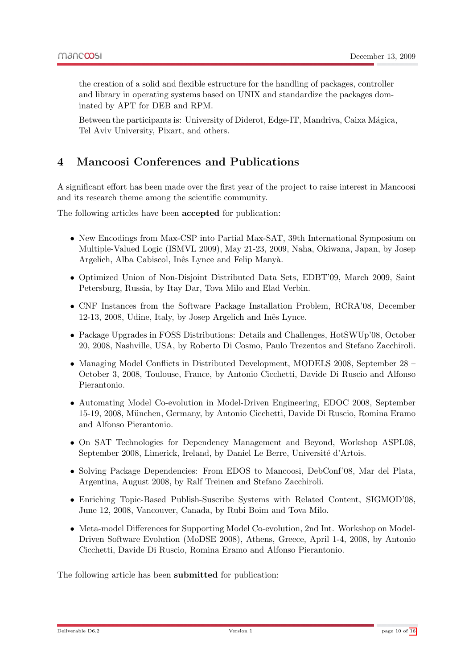the creation of a solid and flexible estructure for the handling of packages, controller and library in operating systems based on UNIX and standardize the packages dominated by APT for DEB and RPM.

Between the participants is: University of Diderot, Edge-IT, Mandriva, Caixa Mágica, Tel Aviv University, Pixart, and others.

# <span id="page-10-0"></span>4 Mancoosi Conferences and Publications

A significant effort has been made over the first year of the project to raise interest in Mancoosi and its research theme among the scientific community.

The following articles have been accepted for publication:

- New Encodings from Max-CSP into Partial Max-SAT, 39th International Symposium on Multiple-Valued Logic (ISMVL 2009), May 21-23, 2009, Naha, Okiwana, Japan, by Josep Argelich, Alba Cabiscol, Inês Lynce and Felip Manyà.
- Optimized Union of Non-Disjoint Distributed Data Sets, EDBT'09, March 2009, Saint Petersburg, Russia, by Itay Dar, Tova Milo and Elad Verbin.
- CNF Instances from the Software Package Installation Problem, RCRA'08, December 12-13, 2008, Udine, Italy, by Josep Argelich and Inês Lynce.
- Package Upgrades in FOSS Distributions: Details and Challenges, HotSWUp'08, October 20, 2008, Nashville, USA, by Roberto Di Cosmo, Paulo Trezentos and Stefano Zacchiroli.
- Managing Model Conflicts in Distributed Development, MODELS 2008, September 28 October 3, 2008, Toulouse, France, by Antonio Cicchetti, Davide Di Ruscio and Alfonso Pierantonio.
- Automating Model Co-evolution in Model-Driven Engineering, EDOC 2008, September 15-19, 2008, M¨unchen, Germany, by Antonio Cicchetti, Davide Di Ruscio, Romina Eramo and Alfonso Pierantonio.
- On SAT Technologies for Dependency Management and Beyond, Workshop ASPL08, September 2008, Limerick, Ireland, by Daniel Le Berre, Université d'Artois.
- Solving Package Dependencies: From EDOS to Mancoosi, DebConf'08, Mar del Plata, Argentina, August 2008, by Ralf Treinen and Stefano Zacchiroli.
- Enriching Topic-Based Publish-Suscribe Systems with Related Content, SIGMOD'08, June 12, 2008, Vancouver, Canada, by Rubi Boim and Tova Milo.
- Meta-model Differences for Supporting Model Co-evolution, 2nd Int. Workshop on Model-Driven Software Evolution (MoDSE 2008), Athens, Greece, April 1-4, 2008, by Antonio Cicchetti, Davide Di Ruscio, Romina Eramo and Alfonso Pierantonio.

The following article has been submitted for publication: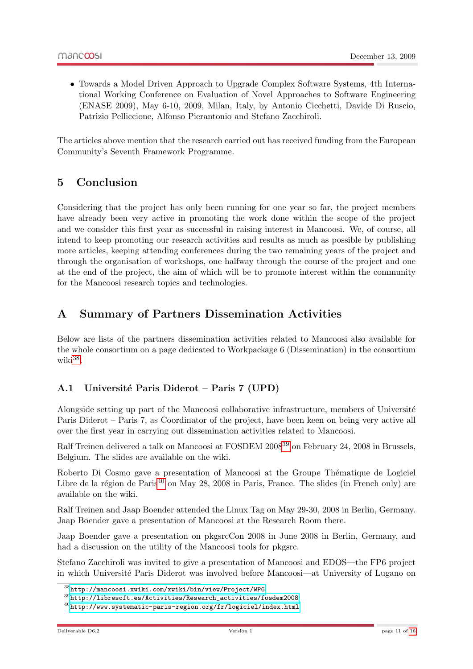• Towards a Model Driven Approach to Upgrade Complex Software Systems, 4th International Working Conference on Evaluation of Novel Approaches to Software Engineering (ENASE 2009), May 6-10, 2009, Milan, Italy, by Antonio Cicchetti, Davide Di Ruscio, Patrizio Pelliccione, Alfonso Pierantonio and Stefano Zacchiroli.

The articles above mention that the research carried out has received funding from the European Community's Seventh Framework Programme.

# <span id="page-11-0"></span>5 Conclusion

Considering that the project has only been running for one year so far, the project members have already been very active in promoting the work done within the scope of the project and we consider this first year as successful in raising interest in Mancoosi. We, of course, all intend to keep promoting our research activities and results as much as possible by publishing more articles, keeping attending conferences during the two remaining years of the project and through the organisation of workshops, one halfway through the course of the project and one at the end of the project, the aim of which will be to promote interest within the community for the Mancoosi research topics and technologies.

# <span id="page-11-1"></span>A Summary of Partners Dissemination Activities

Below are lists of the partners dissemination activities related to Mancoosi also available for the whole consortium on a page dedicated to Workpackage 6 (Dissemination) in the consortium wiki<sup>[38](#page-11-3)</sup>.

### <span id="page-11-2"></span>A.1 Université Paris Diderot – Paris 7 (UPD)

Alongside setting up part of the Mancoosi collaborative infrastructure, members of Université Paris Diderot – Paris 7, as Coordinator of the project, have been keen on being very active all over the first year in carrying out dissemination activities related to Mancoosi.

Ralf Treinen delivered a talk on Mancoosi at FOSDEM 2008<sup>[39](#page-11-4)</sup> on February 24, 2008 in Brussels, Belgium. The slides are available on the wiki.

Roberto Di Cosmo gave a presentation of Mancoosi at the Groupe Thématique de Logiciel Libre de la région de Paris<sup>[40](#page-11-5)</sup> on May 28, 2008 in Paris, France. The slides (in French only) are available on the wiki.

Ralf Treinen and Jaap Boender attended the Linux Tag on May 29-30, 2008 in Berlin, Germany. Jaap Boender gave a presentation of Mancoosi at the Research Room there.

Jaap Boender gave a presentation on pkgsrcCon 2008 in June 2008 in Berlin, Germany, and had a discussion on the utility of the Mancoosi tools for pkgsrc.

Stefano Zacchiroli was invited to give a presentation of Mancoosi and EDOS—the FP6 project in which Université Paris Diderot was involved before Mancoosi—at University of Lugano on

<span id="page-11-3"></span><sup>38</sup><http://mancoosi.xwiki.com/xwiki/bin/view/Project/WP6>

<span id="page-11-4"></span> $39$ [http://libresoft.es/Activities/Research\\_activities/fosdem2008](http://libresoft.es/Activities/Research_activities/fosdem2008)

<span id="page-11-5"></span><sup>40</sup><http://www.systematic-paris-region.org/fr/logiciel/index.html>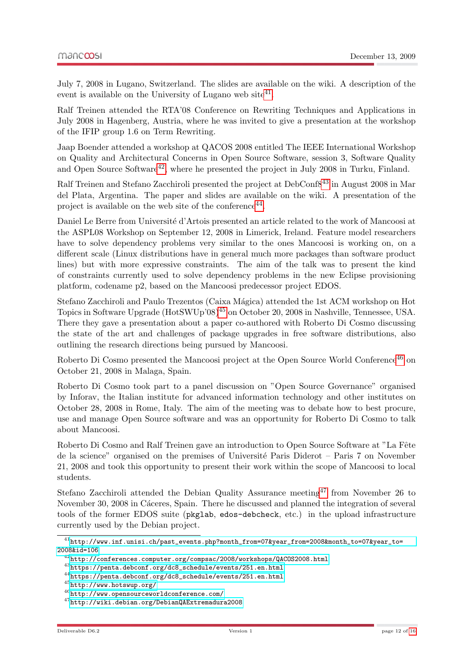July 7, 2008 in Lugano, Switzerland. The slides are available on the wiki. A description of the event is available on the University of Lugano web site<sup>[41](#page-12-0)</sup>.

Ralf Treinen attended the RTA'08 Conference on Rewriting Techniques and Applications in July 2008 in Hagenberg, Austria, where he was invited to give a presentation at the workshop of the IFIP group 1.6 on Term Rewriting.

Jaap Boender attended a workshop at QACOS 2008 entitled The IEEE International Workshop on Quality and Architectural Concerns in Open Source Software, session 3, Software Quality and Open Source Software<sup>[42](#page-12-1)</sup>, where he presented the project in July 2008 in Turku, Finland.

Ralf Treinen and Stefano Zacchiroli presented the project at DebConf8[43](#page-12-2) in August 2008 in Mar del Plata, Argentina. The paper and slides are available on the wiki. A presentation of the project is available on the web site of the conference  $44$ .

Daniel Le Berre from Université d'Artois presented an article related to the work of Mancoosi at the ASPL08 Workshop on September 12, 2008 in Limerick, Ireland. Feature model researchers have to solve dependency problems very similar to the ones Mancoosi is working on, on a different scale (Linux distributions have in general much more packages than software product lines) but with more expressive constraints. The aim of the talk was to present the kind of constraints currently used to solve dependency problems in the new Eclipse provisioning platform, codename p2, based on the Mancoosi predecessor project EDOS.

Stefano Zacchiroli and Paulo Trezentos (Caixa Mágica) attended the 1st ACM workshop on Hot Topics in Software Upgrade (HotSWUp'08)[45](#page-12-4) on October 20, 2008 in Nashville, Tennessee, USA. There they gave a presentation about a paper co-authored with Roberto Di Cosmo discussing the state of the art and challenges of package upgrades in free software distributions, also outlining the research directions being pursued by Mancoosi.

Roberto Di Cosmo presented the Mancoosi project at the Open Source World Conference<sup>[46](#page-12-5)</sup> on October 21, 2008 in Malaga, Spain.

Roberto Di Cosmo took part to a panel discussion on "Open Source Governance" organised by Inforav, the Italian institute for advanced information technology and other institutes on October 28, 2008 in Rome, Italy. The aim of the meeting was to debate how to best procure, use and manage Open Source software and was an opportunity for Roberto Di Cosmo to talk about Mancoosi.

Roberto Di Cosmo and Ralf Treinen gave an introduction to Open Source Software at "La Fête" de la science" organised on the premises of Université Paris Diderot – Paris 7 on November 21, 2008 and took this opportunity to present their work within the scope of Mancoosi to local students.

Stefano Zacchiroli attended the Debian Quality Assurance meeting  $47$  from November 26 to November 30, 2008 in Cáceres, Spain. There he discussed and planned the integration of several tools of the former EDOS suite (pkglab, edos-debcheck, etc.) in the upload infrastructure currently used by the Debian project.

<span id="page-12-0"></span> $^{41}\texttt{http://www.inf.unisi.ch/past_events.php?month_from=07\&year_from=2008\&month_to=07\&year_to=05\&m=07\&m=07\&m=07\&m=07\&m=07\&m=07\&m=07\&m=07\&m=07\&m=07\&m=07\&m=07\&m=07\&m=07\&m=07\&m=07\&m=07\&m=07\&m=07\&m=07\&m=07\&m=07\&m=07\&m=07\&m=07\&m=07\&m=07\&m=07\&$ [2008&id=106](http://www.inf.unisi.ch/past_events.php?month_from=07&year_from=2008&month_to=07&year_to=2008&id=106)

<span id="page-12-1"></span> $^{42}$ <http://conferences.computer.org/compsac/2008/workshops/QACOS2008.html>

<span id="page-12-2"></span> $^{43}{\rm https://penta.debconf.org/dc8\_schedule/events/251.en.html}$ 

<span id="page-12-3"></span> $^{44}\rm{https}$  ://penta.debconf.org/dc8\_schedule/events/251.en.html

<span id="page-12-4"></span><sup>45</sup><http://www.hotswup.org/>

<span id="page-12-5"></span> $^{46}$ <http://www.opensourceworldconference.com/>

<span id="page-12-6"></span><sup>47</sup><http://wiki.debian.org/DebianQAExtremadura2008>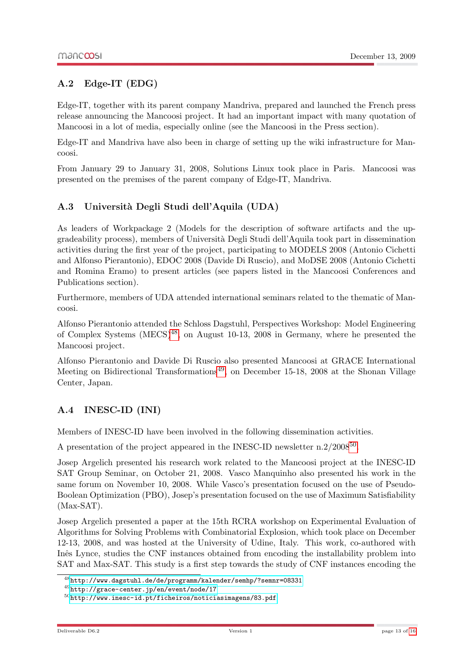### <span id="page-13-0"></span>A.2 Edge-IT (EDG)

Edge-IT, together with its parent company Mandriva, prepared and launched the French press release announcing the Mancoosi project. It had an important impact with many quotation of Mancoosi in a lot of media, especially online (see the Mancoosi in the Press section).

Edge-IT and Mandriva have also been in charge of setting up the wiki infrastructure for Mancoosi.

From January 29 to January 31, 2008, Solutions Linux took place in Paris. Mancoosi was presented on the premises of the parent company of Edge-IT, Mandriva.

### <span id="page-13-1"></span>A.3 Universit`a Degli Studi dell'Aquila (UDA)

As leaders of Workpackage 2 (Models for the description of software artifacts and the upgradeability process), members of Universit`a Degli Studi dell'Aquila took part in dissemination activities during the first year of the project, participating to MODELS 2008 (Antonio Cichetti and Alfonso Pierantonio), EDOC 2008 (Davide Di Ruscio), and MoDSE 2008 (Antonio Cichetti and Romina Eramo) to present articles (see papers listed in the Mancoosi Conferences and Publications section).

Furthermore, members of UDA attended international seminars related to the thematic of Mancoosi.

Alfonso Pierantonio attended the Schloss Dagstuhl, Perspectives Workshop: Model Engineering of Complex Systems (MECS)[48](#page-13-3), on August 10-13, 2008 in Germany, where he presented the Mancoosi project.

Alfonso Pierantonio and Davide Di Ruscio also presented Mancoosi at GRACE International Meeting on Bidirectional Transformations<sup>[49](#page-13-4)</sup>, on December 15-18, 2008 at the Shonan Village Center, Japan.

### <span id="page-13-2"></span>A.4 INESC-ID (INI)

Members of INESC-ID have been involved in the following dissemination activities.

A presentation of the project appeared in the INESC-ID newsletter  $n.2/2008^{50}$  $n.2/2008^{50}$  $n.2/2008^{50}$ .

Josep Argelich presented his research work related to the Mancoosi project at the INESC-ID SAT Group Seminar, on October 21, 2008. Vasco Manquinho also presented his work in the same forum on November 10, 2008. While Vasco's presentation focused on the use of Pseudo-Boolean Optimization (PBO), Josep's presentation focused on the use of Maximum Satisfiability (Max-SAT).

Josep Argelich presented a paper at the 15th RCRA workshop on Experimental Evaluation of Algorithms for Solving Problems with Combinatorial Explosion, which took place on December 12-13, 2008, and was hosted at the University of Udine, Italy. This work, co-authored with Inês Lynce, studies the CNF instances obtained from encoding the installability problem into SAT and Max-SAT. This study is a first step towards the study of CNF instances encoding the

<span id="page-13-3"></span><sup>48</sup><http://www.dagstuhl.de/de/programm/kalender/semhp/?semnr=08331>

<span id="page-13-4"></span><sup>49</sup><http://grace-center.jp/en/event/node/17>

<span id="page-13-5"></span> $^{50}$ <http://www.inesc-id.pt/ficheiros/noticiasimagens/83.pdf>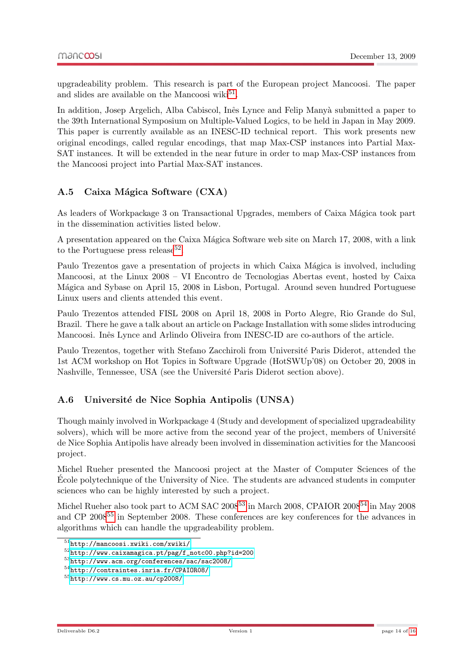upgradeability problem. This research is part of the European project Mancoosi. The paper and slides are available on the Mancoosi wiki $^{51}$  $^{51}$  $^{51}$ .

In addition, Josep Argelich, Alba Cabiscol, Inês Lynce and Felip Manyà submitted a paper to the 39th International Symposium on Multiple-Valued Logics, to be held in Japan in May 2009. This paper is currently available as an INESC-ID technical report. This work presents new original encodings, called regular encodings, that map Max-CSP instances into Partial Max-SAT instances. It will be extended in the near future in order to map Max-CSP instances from the Mancoosi project into Partial Max-SAT instances.

### <span id="page-14-0"></span>A.5 Caixa Mágica Software (CXA)

As leaders of Workpackage 3 on Transactional Upgrades, members of Caixa Mágica took part in the dissemination activities listed below.

A presentation appeared on the Caixa Mágica Software web site on March 17, 2008, with a link to the Portuguese press release<sup>[52](#page-14-3)</sup>.

Paulo Trezentos gave a presentation of projects in which Caixa Mágica is involved, including Mancoosi, at the Linux 2008 – VI Encontro de Tecnologias Abertas event, hosted by Caixa M´agica and Sybase on April 15, 2008 in Lisbon, Portugal. Around seven hundred Portuguese Linux users and clients attended this event.

Paulo Trezentos attended FISL 2008 on April 18, 2008 in Porto Alegre, Rio Grande do Sul, Brazil. There he gave a talk about an article on Package Installation with some slides introducing Mancoosi. Inês Lynce and Arlindo Oliveira from INESC-ID are co-authors of the article.

Paulo Trezentos, together with Stefano Zacchiroli from Université Paris Diderot, attended the 1st ACM workshop on Hot Topics in Software Upgrade (HotSWUp'08) on October 20, 2008 in Nashville, Tennessee, USA (see the Université Paris Diderot section above).

#### <span id="page-14-1"></span>A.6 Université de Nice Sophia Antipolis (UNSA)

Though mainly involved in Workpackage 4 (Study and development of specialized upgradeability solvers), which will be more active from the second year of the project, members of Université de Nice Sophia Antipolis have already been involved in dissemination activities for the Mancoosi project.

Michel Rueher presented the Mancoosi project at the Master of Computer Sciences of the Ecole polytechnique of the University of Nice. The students are advanced students in computer ´ sciences who can be highly interested by such a project.

Michel Rueher also took part to ACM SAC  $2008^{53}$  $2008^{53}$  $2008^{53}$  in March 2008, CPAIOR  $2008^{54}$  $2008^{54}$  $2008^{54}$  in May 2008 and CP 2008<sup>[55](#page-14-6)</sup> in September 2008. These conferences are key conferences for the advances in algorithms which can handle the upgradeability problem.

<span id="page-14-2"></span> $\overline{51}$ <http://mancoosi.xwiki.com/xwiki/>

<span id="page-14-3"></span><sup>52</sup>[http://www.caixamagica.pt/pag/f\\_notc00.php?id=200](http://www.caixamagica.pt/pag/f_notc00.php?id=200)

<span id="page-14-4"></span><sup>53</sup><http://www.acm.org/conferences/sac/sac2008/>

<span id="page-14-5"></span><sup>54</sup><http://contraintes.inria.fr/CPAIOR08/>

<span id="page-14-6"></span><sup>55</sup><http://www.cs.mu.oz.au/cp2008/>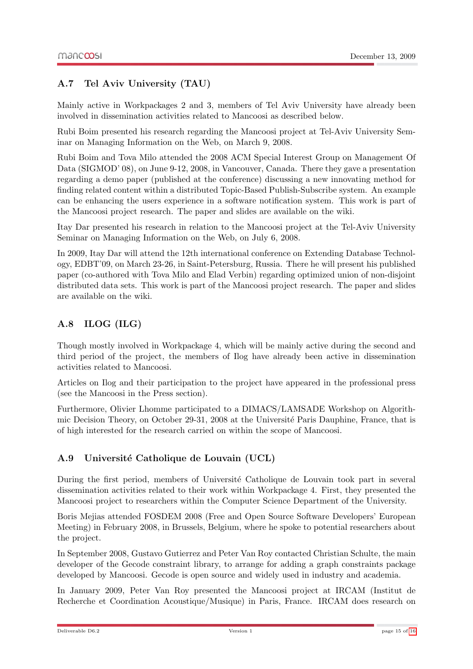### <span id="page-15-0"></span>A.7 Tel Aviv University (TAU)

Mainly active in Workpackages 2 and 3, members of Tel Aviv University have already been involved in dissemination activities related to Mancoosi as described below.

Rubi Boim presented his research regarding the Mancoosi project at Tel-Aviv University Seminar on Managing Information on the Web, on March 9, 2008.

Rubi Boim and Tova Milo attended the 2008 ACM Special Interest Group on Management Of Data (SIGMOD' 08), on June 9-12, 2008, in Vancouver, Canada. There they gave a presentation regarding a demo paper (published at the conference) discussing a new innovating method for finding related content within a distributed Topic-Based Publish-Subscribe system. An example can be enhancing the users experience in a software notification system. This work is part of the Mancoosi project research. The paper and slides are available on the wiki.

Itay Dar presented his research in relation to the Mancoosi project at the Tel-Aviv University Seminar on Managing Information on the Web, on July 6, 2008.

In 2009, Itay Dar will attend the 12th international conference on Extending Database Technology, EDBT'09, on March 23-26, in Saint-Petersburg, Russia. There he will present his published paper (co-authored with Tova Milo and Elad Verbin) regarding optimized union of non-disjoint distributed data sets. This work is part of the Mancoosi project research. The paper and slides are available on the wiki.

### <span id="page-15-1"></span>A.8 ILOG (ILG)

Though mostly involved in Workpackage 4, which will be mainly active during the second and third period of the project, the members of Ilog have already been active in dissemination activities related to Mancoosi.

Articles on Ilog and their participation to the project have appeared in the professional press (see the Mancoosi in the Press section).

Furthermore, Olivier Lhomme participated to a DIMACS/LAMSADE Workshop on Algorithmic Decision Theory, on October 29-31, 2008 at the Université Paris Dauphine, France, that is of high interested for the research carried on within the scope of Mancoosi.

### <span id="page-15-2"></span>A.9 Université Catholique de Louvain (UCL)

During the first period, members of Université Catholique de Louvain took part in several dissemination activities related to their work within Workpackage 4. First, they presented the Mancoosi project to researchers within the Computer Science Department of the University.

Boris Mejias attended FOSDEM 2008 (Free and Open Source Software Developers' European Meeting) in February 2008, in Brussels, Belgium, where he spoke to potential researchers about the project.

In September 2008, Gustavo Gutierrez and Peter Van Roy contacted Christian Schulte, the main developer of the Gecode constraint library, to arrange for adding a graph constraints package developed by Mancoosi. Gecode is open source and widely used in industry and academia.

In January 2009, Peter Van Roy presented the Mancoosi project at IRCAM (Institut de Recherche et Coordination Acoustique/Musique) in Paris, France. IRCAM does research on